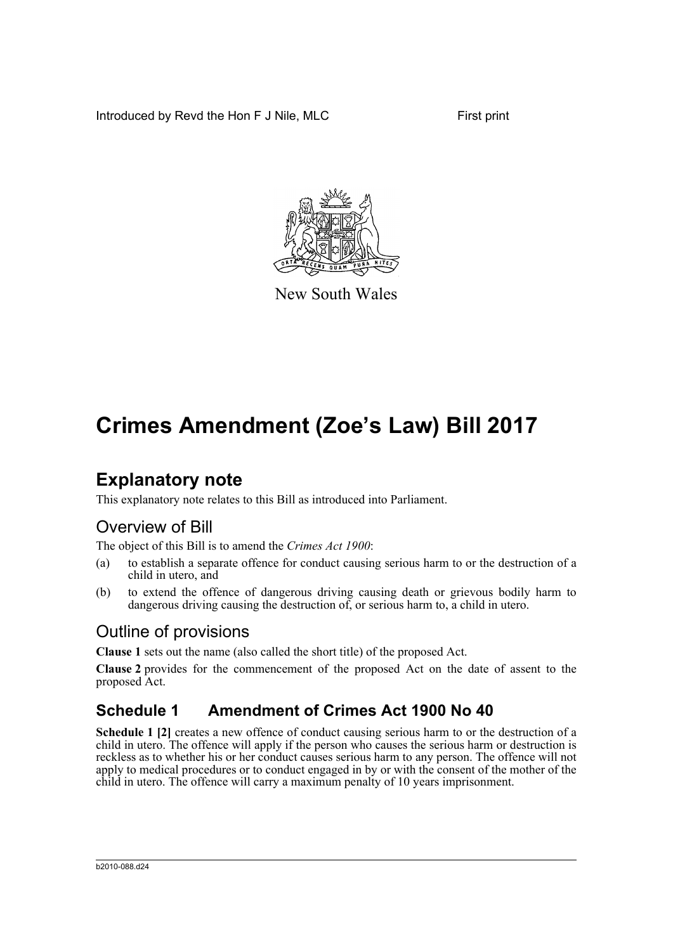Introduced by Revd the Hon F J Nile, MLC First print



New South Wales

# **Crimes Amendment (Zoe's Law) Bill 2017**

# **Explanatory note**

This explanatory note relates to this Bill as introduced into Parliament.

## Overview of Bill

The object of this Bill is to amend the *Crimes Act 1900*:

- (a) to establish a separate offence for conduct causing serious harm to or the destruction of a child in utero, and
- (b) to extend the offence of dangerous driving causing death or grievous bodily harm to dangerous driving causing the destruction of, or serious harm to, a child in utero.

### Outline of provisions

**Clause 1** sets out the name (also called the short title) of the proposed Act.

**Clause 2** provides for the commencement of the proposed Act on the date of assent to the proposed Act.

## **Schedule 1 Amendment of Crimes Act 1900 No 40**

**Schedule 1 [2]** creates a new offence of conduct causing serious harm to or the destruction of a child in utero. The offence will apply if the person who causes the serious harm or destruction is reckless as to whether his or her conduct causes serious harm to any person. The offence will not apply to medical procedures or to conduct engaged in by or with the consent of the mother of the child in utero. The offence will carry a maximum penalty of 10 years imprisonment.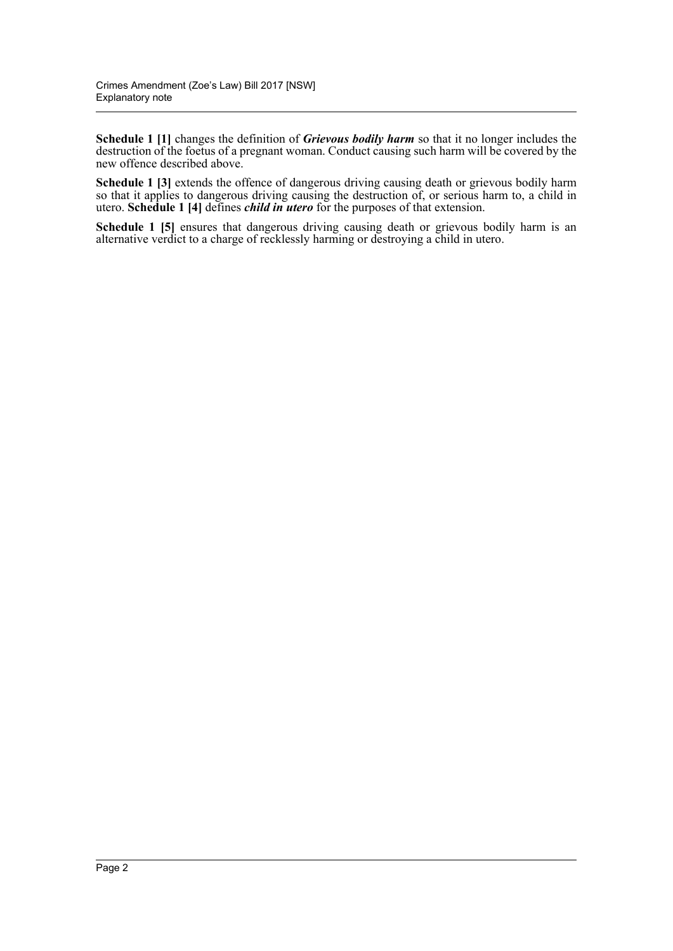**Schedule 1 [1]** changes the definition of *Grievous bodily harm* so that it no longer includes the destruction of the foetus of a pregnant woman. Conduct causing such harm will be covered by the new offence described above.

**Schedule 1 [3]** extends the offence of dangerous driving causing death or grievous bodily harm so that it applies to dangerous driving causing the destruction of, or serious harm to, a child in utero. **Schedule 1 [4]** defines *child in utero* for the purposes of that extension.

**Schedule 1 [5]** ensures that dangerous driving causing death or grievous bodily harm is an alternative verdict to a charge of recklessly harming or destroying a child in utero.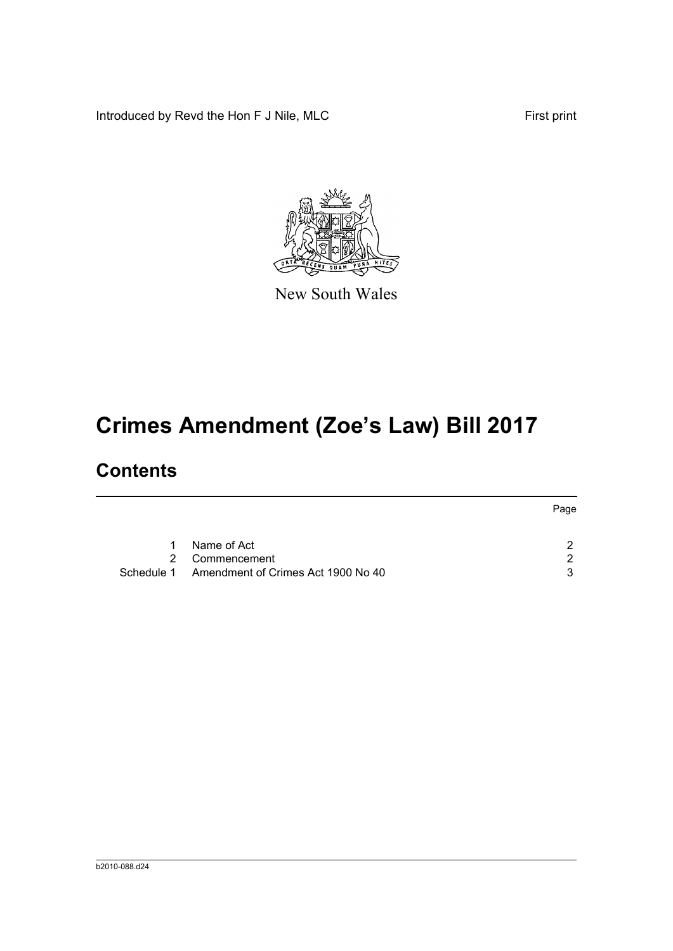Introduced by Revd the Hon F J Nile, MLC First print



New South Wales

# **Crimes Amendment (Zoe's Law) Bill 2017**

# **Contents**

|    |                                               | Page |
|----|-----------------------------------------------|------|
| 1. | Name of Act                                   | ົ    |
| 2  | Commencement                                  | ົ    |
|    | Schedule 1 Amendment of Crimes Act 1900 No 40 | 3    |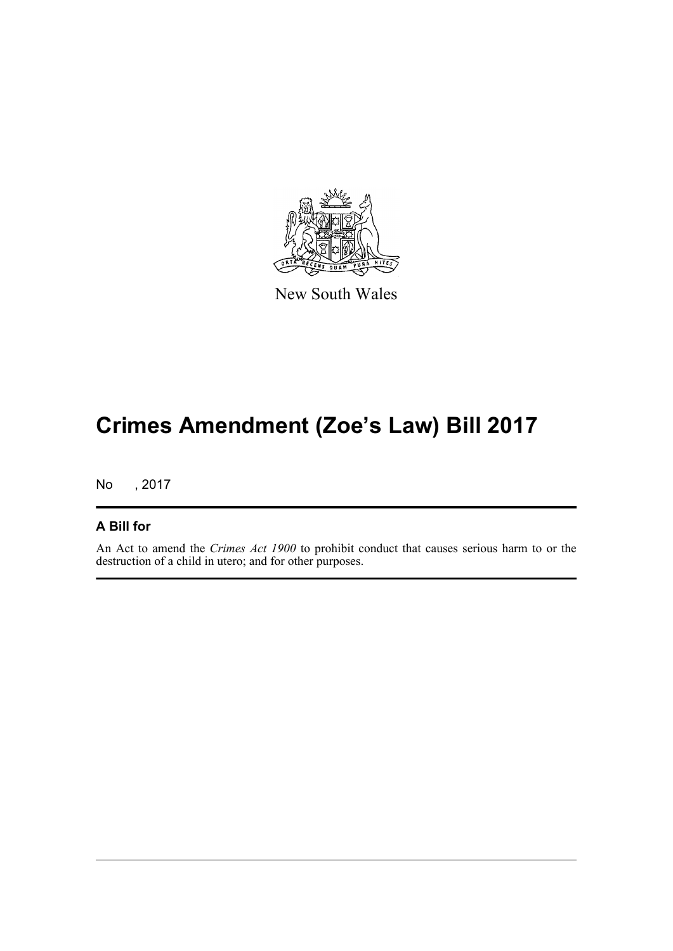

New South Wales

# **Crimes Amendment (Zoe's Law) Bill 2017**

No , 2017

#### **A Bill for**

An Act to amend the *Crimes Act 1900* to prohibit conduct that causes serious harm to or the destruction of a child in utero; and for other purposes.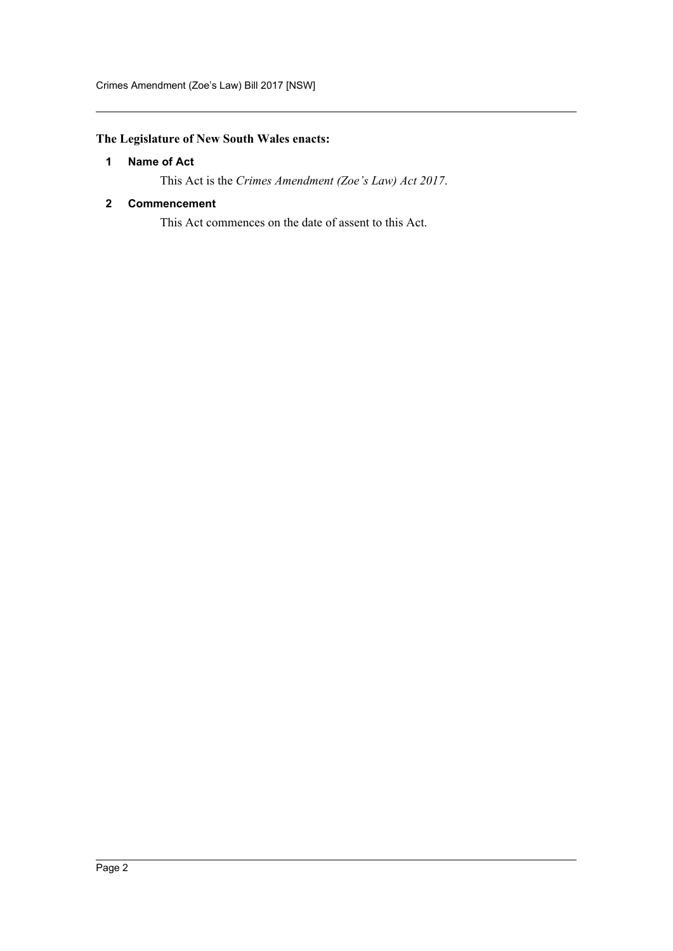#### <span id="page-4-0"></span>**The Legislature of New South Wales enacts:**

#### **1 Name of Act**

This Act is the *Crimes Amendment (Zoe's Law) Act 2017*.

#### <span id="page-4-1"></span>**2 Commencement**

This Act commences on the date of assent to this Act.